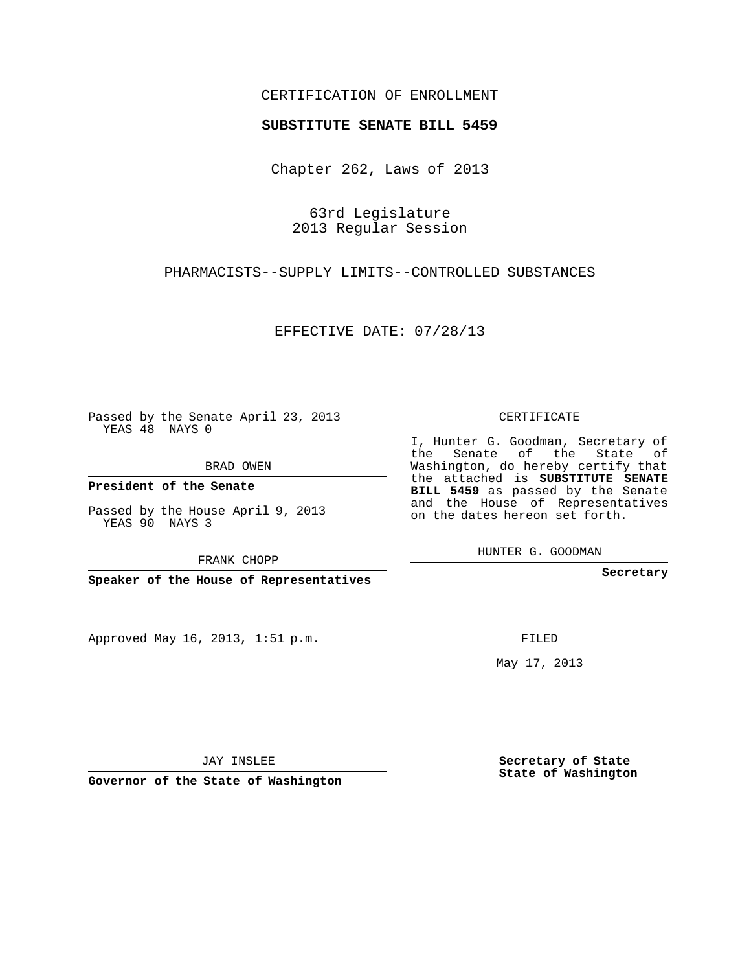## CERTIFICATION OF ENROLLMENT

## **SUBSTITUTE SENATE BILL 5459**

Chapter 262, Laws of 2013

63rd Legislature 2013 Regular Session

PHARMACISTS--SUPPLY LIMITS--CONTROLLED SUBSTANCES

EFFECTIVE DATE: 07/28/13

Passed by the Senate April 23, 2013 YEAS 48 NAYS 0

BRAD OWEN

**President of the Senate**

Passed by the House April 9, 2013 YEAS 90 NAYS 3

FRANK CHOPP

**Speaker of the House of Representatives**

Approved May 16, 2013, 1:51 p.m.

CERTIFICATE

I, Hunter G. Goodman, Secretary of the Senate of the State of Washington, do hereby certify that the attached is **SUBSTITUTE SENATE BILL 5459** as passed by the Senate and the House of Representatives on the dates hereon set forth.

HUNTER G. GOODMAN

**Secretary**

FILED

May 17, 2013

**Secretary of State State of Washington**

JAY INSLEE

**Governor of the State of Washington**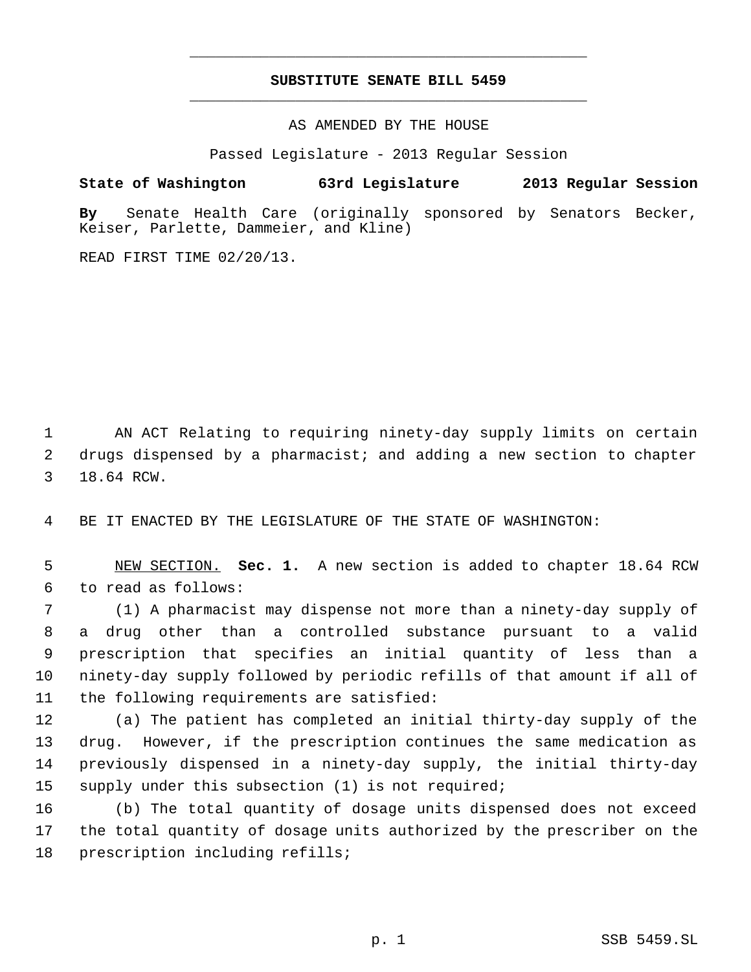## **SUBSTITUTE SENATE BILL 5459** \_\_\_\_\_\_\_\_\_\_\_\_\_\_\_\_\_\_\_\_\_\_\_\_\_\_\_\_\_\_\_\_\_\_\_\_\_\_\_\_\_\_\_\_\_

\_\_\_\_\_\_\_\_\_\_\_\_\_\_\_\_\_\_\_\_\_\_\_\_\_\_\_\_\_\_\_\_\_\_\_\_\_\_\_\_\_\_\_\_\_

AS AMENDED BY THE HOUSE

Passed Legislature - 2013 Regular Session

**State of Washington 63rd Legislature 2013 Regular Session**

**By** Senate Health Care (originally sponsored by Senators Becker, Keiser, Parlette, Dammeier, and Kline)

READ FIRST TIME 02/20/13.

 AN ACT Relating to requiring ninety-day supply limits on certain drugs dispensed by a pharmacist; and adding a new section to chapter 18.64 RCW.

BE IT ENACTED BY THE LEGISLATURE OF THE STATE OF WASHINGTON:

 NEW SECTION. **Sec. 1.** A new section is added to chapter 18.64 RCW to read as follows:

 (1) A pharmacist may dispense not more than a ninety-day supply of a drug other than a controlled substance pursuant to a valid prescription that specifies an initial quantity of less than a ninety-day supply followed by periodic refills of that amount if all of the following requirements are satisfied:

 (a) The patient has completed an initial thirty-day supply of the drug. However, if the prescription continues the same medication as previously dispensed in a ninety-day supply, the initial thirty-day supply under this subsection (1) is not required;

 (b) The total quantity of dosage units dispensed does not exceed the total quantity of dosage units authorized by the prescriber on the prescription including refills;